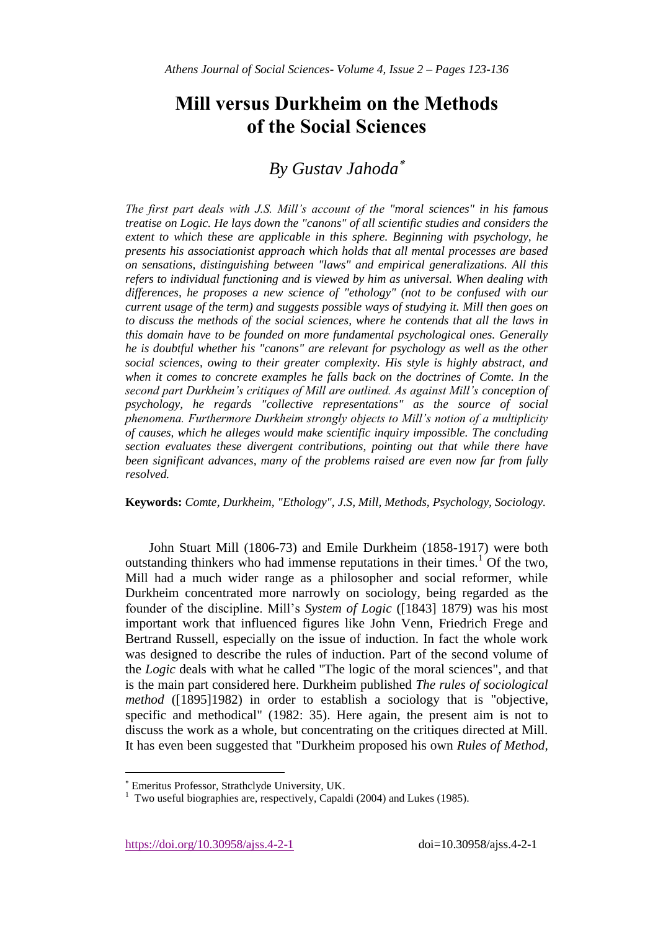# **Mill versus Durkheim on the Methods of the Social Sciences**

# *By Gustav Jahoda*

*The first part deals with J.S. Mill's account of the "moral sciences" in his famous treatise on Logic. He lays down the "canons" of all scientific studies and considers the extent to which these are applicable in this sphere. Beginning with psychology, he presents his associationist approach which holds that all mental processes are based on sensations, distinguishing between "laws" and empirical generalizations. All this refers to individual functioning and is viewed by him as universal. When dealing with differences, he proposes a new science of "ethology" (not to be confused with our current usage of the term) and suggests possible ways of studying it. Mill then goes on to discuss the methods of the social sciences, where he contends that all the laws in this domain have to be founded on more fundamental psychological ones. Generally he is doubtful whether his "canons" are relevant for psychology as well as the other social sciences, owing to their greater complexity. His style is highly abstract, and when it comes to concrete examples he falls back on the doctrines of Comte. In the second part Durkheim's critiques of Mill are outlined. As against Mill's conception of psychology, he regards "collective representations" as the source of social phenomena. Furthermore Durkheim strongly objects to Mill's notion of a multiplicity of causes, which he alleges would make scientific inquiry impossible. The concluding section evaluates these divergent contributions, pointing out that while there have been significant advances, many of the problems raised are even now far from fully resolved.*

**Keywords:** *Comte, Durkheim, "Ethology", J.S, Mill, Methods, Psychology, Sociology.*

John Stuart Mill (1806-73) and Emile Durkheim (1858-1917) were both outstanding thinkers who had immense reputations in their times.<sup>1</sup> Of the two, Mill had a much wider range as a philosopher and social reformer, while Durkheim concentrated more narrowly on sociology, being regarded as the founder of the discipline. Mill's *System of Logic* ([1843] 1879) was his most important work that influenced figures like John Venn, Friedrich Frege and Bertrand Russell, especially on the issue of induction. In fact the whole work was designed to describe the rules of induction. Part of the second volume of the *Logic* deals with what he called "The logic of the moral sciences", and that is the main part considered here. Durkheim published *The rules of sociological method* ([1895]1982) in order to establish a sociology that is "objective, specific and methodical" (1982: 35). Here again, the present aim is not to discuss the work as a whole, but concentrating on the critiques directed at Mill. It has even been suggested that "Durkheim proposed his own *Rules of Method,* 

 $\overline{\phantom{a}}$ 

Emeritus Professor, Strathclyde University, UK.

<sup>1</sup> Two useful biographies are, respectively, Capaldi (2004) and Lukes (1985).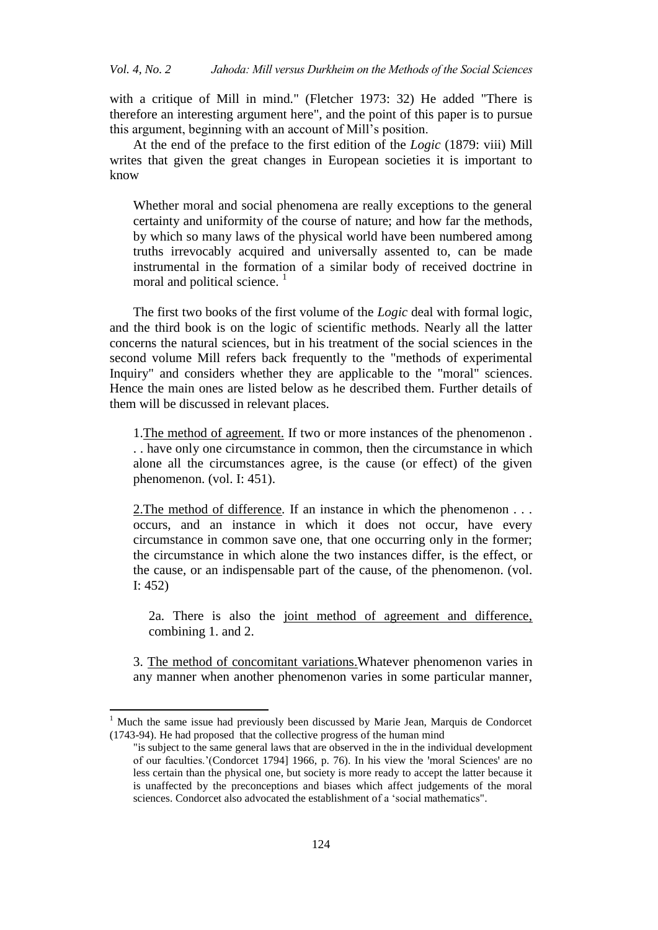with a critique of Mill in mind." (Fletcher 1973: 32) He added "There is therefore an interesting argument here", and the point of this paper is to pursue this argument, beginning with an account of Mill's position.

At the end of the preface to the first edition of the *Logic* (1879: viii) Mill writes that given the great changes in European societies it is important to know

Whether moral and social phenomena are really exceptions to the general certainty and uniformity of the course of nature; and how far the methods, by which so many laws of the physical world have been numbered among truths irrevocably acquired and universally assented to, can be made instrumental in the formation of a similar body of received doctrine in moral and political science.<sup>1</sup>

The first two books of the first volume of the *Logic* deal with formal logic, and the third book is on the logic of scientific methods. Nearly all the latter concerns the natural sciences, but in his treatment of the social sciences in the second volume Mill refers back frequently to the "methods of experimental Inquiry" and considers whether they are applicable to the "moral" sciences. Hence the main ones are listed below as he described them. Further details of them will be discussed in relevant places.

1.The method of agreement. If two or more instances of the phenomenon . . . have only one circumstance in common, then the circumstance in which alone all the circumstances agree, is the cause (or effect) of the given phenomenon. (vol. I: 451).

2.The method of difference*.* If an instance in which the phenomenon . . . occurs, and an instance in which it does not occur, have every circumstance in common save one, that one occurring only in the former; the circumstance in which alone the two instances differ, is the effect, or the cause, or an indispensable part of the cause, of the phenomenon. (vol. I: 452)

2a. There is also the joint method of agreement and difference, combining 1. and 2.

3. The method of concomitant variations.Whatever phenomenon varies in any manner when another phenomenon varies in some particular manner,

1

<sup>1</sup> Much the same issue had previously been discussed by Marie Jean, Marquis de Condorcet (1743-94). He had proposed that the collective progress of the human mind

<sup>&</sup>quot;is subject to the same general laws that are observed in the in the individual development of our faculties.'(Condorcet 1794] 1966, p. 76). In his view the 'moral Sciences' are no less certain than the physical one, but society is more ready to accept the latter because it is unaffected by the preconceptions and biases which affect judgements of the moral sciences. Condorcet also advocated the establishment of a 'social mathematics".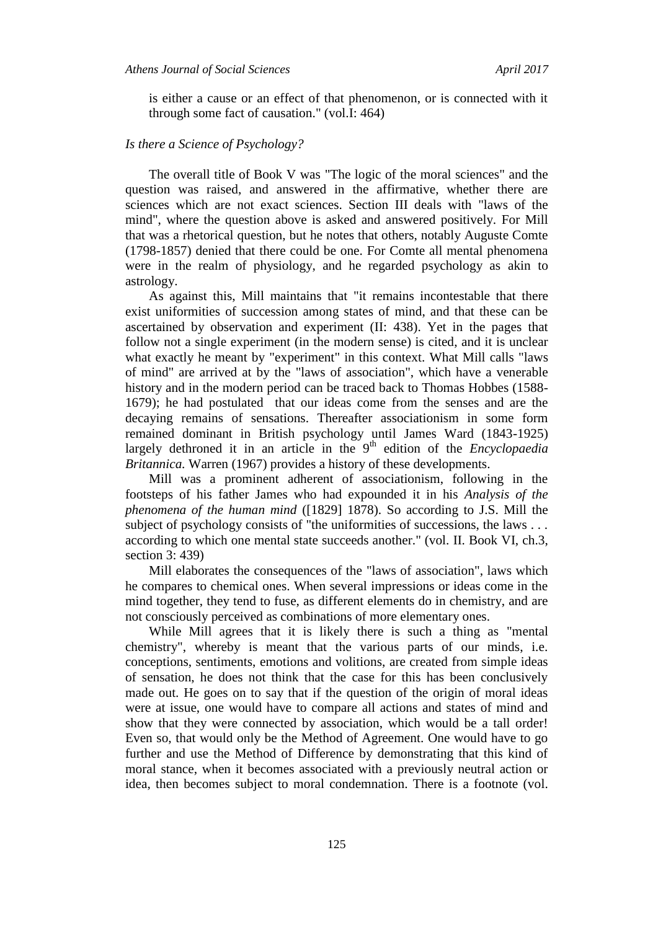is either a cause or an effect of that phenomenon, or is connected with it through some fact of causation." (vol.I: 464)

### *Is there a Science of Psychology?*

The overall title of Book V was "The logic of the moral sciences" and the question was raised, and answered in the affirmative, whether there are sciences which are not exact sciences. Section III deals with "laws of the mind", where the question above is asked and answered positively. For Mill that was a rhetorical question, but he notes that others, notably Auguste Comte (1798-1857) denied that there could be one. For Comte all mental phenomena were in the realm of physiology, and he regarded psychology as akin to astrology.

As against this, Mill maintains that "it remains incontestable that there exist uniformities of succession among states of mind, and that these can be ascertained by observation and experiment (II: 438). Yet in the pages that follow not a single experiment (in the modern sense) is cited, and it is unclear what exactly he meant by "experiment" in this context. What Mill calls "laws of mind" are arrived at by the "laws of association", which have a venerable history and in the modern period can be traced back to Thomas Hobbes (1588- 1679); he had postulated that our ideas come from the senses and are the decaying remains of sensations. Thereafter associationism in some form remained dominant in British psychology until James Ward (1843-1925) largely dethroned it in an article in the 9<sup>th</sup> edition of the *Encyclopaedia Britannica.* Warren (1967) provides a history of these developments.

Mill was a prominent adherent of associationism, following in the footsteps of his father James who had expounded it in his *Analysis of the phenomena of the human mind* ([1829] 1878). So according to J.S. Mill the subject of psychology consists of "the uniformities of successions, the laws . . . according to which one mental state succeeds another." (vol. II. Book VI, ch.3, section 3: 439)

Mill elaborates the consequences of the "laws of association", laws which he compares to chemical ones. When several impressions or ideas come in the mind together, they tend to fuse, as different elements do in chemistry, and are not consciously perceived as combinations of more elementary ones.

While Mill agrees that it is likely there is such a thing as "mental chemistry", whereby is meant that the various parts of our minds, i.e. conceptions, sentiments, emotions and volitions, are created from simple ideas of sensation, he does not think that the case for this has been conclusively made out. He goes on to say that if the question of the origin of moral ideas were at issue, one would have to compare all actions and states of mind and show that they were connected by association, which would be a tall order! Even so, that would only be the Method of Agreement. One would have to go further and use the Method of Difference by demonstrating that this kind of moral stance, when it becomes associated with a previously neutral action or idea, then becomes subject to moral condemnation. There is a footnote (vol.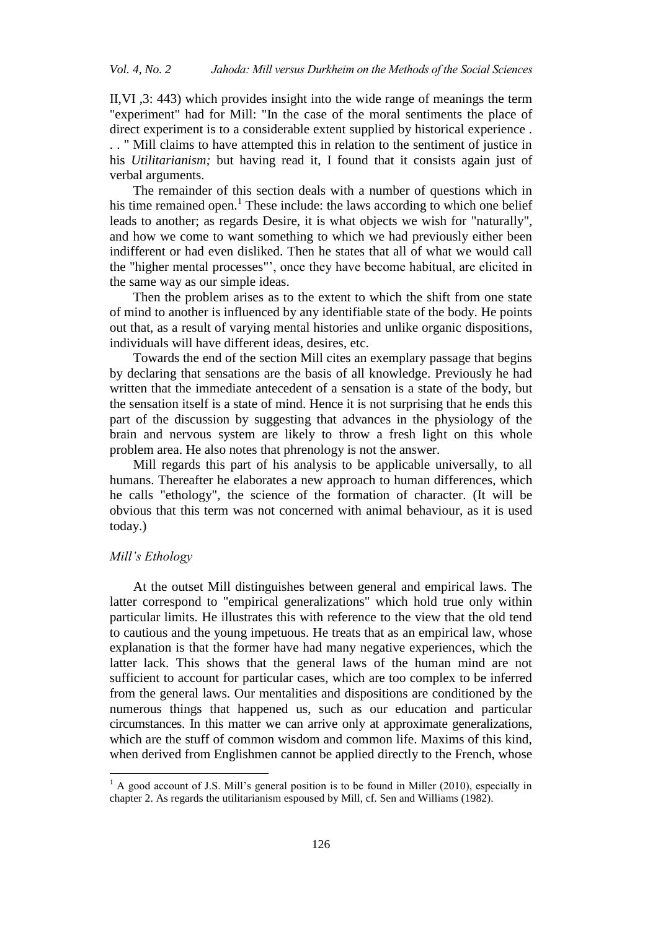II,VI ,3: 443) which provides insight into the wide range of meanings the term "experiment" had for Mill: "In the case of the moral sentiments the place of direct experiment is to a considerable extent supplied by historical experience . . . " Mill claims to have attempted this in relation to the sentiment of justice in his *Utilitarianism;* but having read it, I found that it consists again just of verbal arguments.

The remainder of this section deals with a number of questions which in his time remained open.<sup>1</sup> These include: the laws according to which one belief leads to another; as regards Desire, it is what objects we wish for "naturally", and how we come to want something to which we had previously either been indifferent or had even disliked. Then he states that all of what we would call the "higher mental processes"', once they have become habitual, are elicited in the same way as our simple ideas.

Then the problem arises as to the extent to which the shift from one state of mind to another is influenced by any identifiable state of the body. He points out that, as a result of varying mental histories and unlike organic dispositions, individuals will have different ideas, desires, etc.

Towards the end of the section Mill cites an exemplary passage that begins by declaring that sensations are the basis of all knowledge. Previously he had written that the immediate antecedent of a sensation is a state of the body, but the sensation itself is a state of mind. Hence it is not surprising that he ends this part of the discussion by suggesting that advances in the physiology of the brain and nervous system are likely to throw a fresh light on this whole problem area. He also notes that phrenology is not the answer.

Mill regards this part of his analysis to be applicable universally, to all humans. Thereafter he elaborates a new approach to human differences, which he calls "ethology", the science of the formation of character. (It will be obvious that this term was not concerned with animal behaviour, as it is used today.)

#### *Mill's Ethology*

 $\overline{a}$ 

At the outset Mill distinguishes between general and empirical laws. The latter correspond to "empirical generalizations" which hold true only within particular limits. He illustrates this with reference to the view that the old tend to cautious and the young impetuous. He treats that as an empirical law, whose explanation is that the former have had many negative experiences, which the latter lack. This shows that the general laws of the human mind are not sufficient to account for particular cases, which are too complex to be inferred from the general laws. Our mentalities and dispositions are conditioned by the numerous things that happened us, such as our education and particular circumstances. In this matter we can arrive only at approximate generalizations, which are the stuff of common wisdom and common life. Maxims of this kind, when derived from Englishmen cannot be applied directly to the French, whose

 $<sup>1</sup>$  A good account of J.S. Mill's general position is to be found in Miller (2010), especially in</sup> chapter 2. As regards the utilitarianism espoused by Mill, cf. Sen and Williams (1982).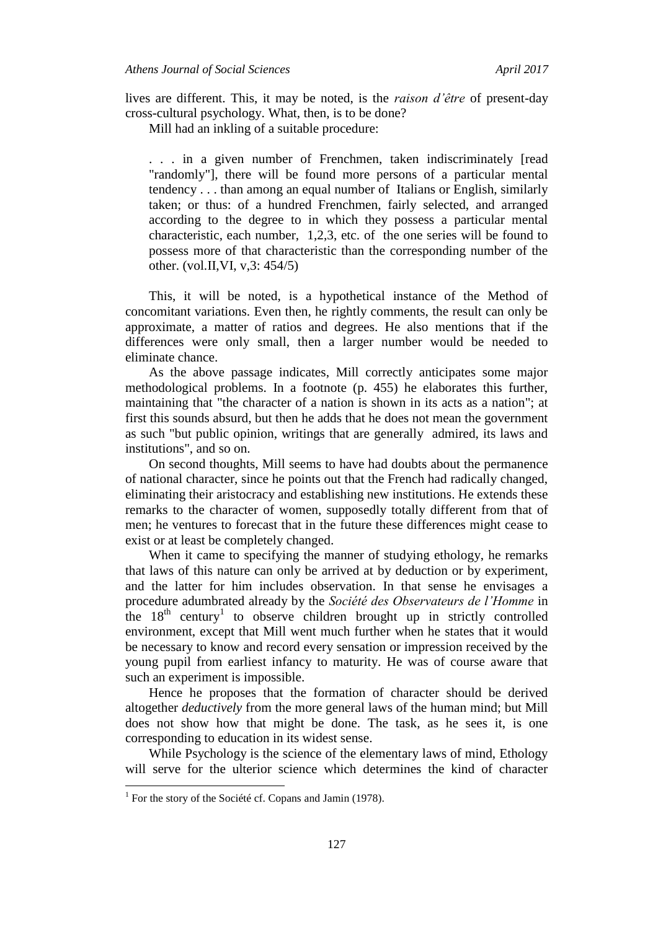lives are different. This, it may be noted, is the *raison d'être* of present-day cross-cultural psychology. What, then, is to be done?

Mill had an inkling of a suitable procedure:

. . . in a given number of Frenchmen, taken indiscriminately [read "randomly"], there will be found more persons of a particular mental tendency . . . than among an equal number of Italians or English, similarly taken; or thus: of a hundred Frenchmen, fairly selected, and arranged according to the degree to in which they possess a particular mental characteristic, each number, 1,2,3, etc. of the one series will be found to possess more of that characteristic than the corresponding number of the other. (vol.II,VI, v,3: 454/5)

This, it will be noted, is a hypothetical instance of the Method of concomitant variations. Even then, he rightly comments, the result can only be approximate, a matter of ratios and degrees. He also mentions that if the differences were only small, then a larger number would be needed to eliminate chance.

As the above passage indicates, Mill correctly anticipates some major methodological problems. In a footnote (p. 455) he elaborates this further, maintaining that "the character of a nation is shown in its acts as a nation"; at first this sounds absurd, but then he adds that he does not mean the government as such "but public opinion, writings that are generally admired, its laws and institutions", and so on.

On second thoughts, Mill seems to have had doubts about the permanence of national character, since he points out that the French had radically changed, eliminating their aristocracy and establishing new institutions. He extends these remarks to the character of women, supposedly totally different from that of men; he ventures to forecast that in the future these differences might cease to exist or at least be completely changed.

When it came to specifying the manner of studying ethology, he remarks that laws of this nature can only be arrived at by deduction or by experiment, and the latter for him includes observation. In that sense he envisages a procedure adumbrated already by the *Société des Observateurs de l'Homme* in the  $18<sup>th</sup>$  century<sup>1</sup> to observe children brought up in strictly controlled environment, except that Mill went much further when he states that it would be necessary to know and record every sensation or impression received by the young pupil from earliest infancy to maturity. He was of course aware that such an experiment is impossible.

Hence he proposes that the formation of character should be derived altogether *deductively* from the more general laws of the human mind; but Mill does not show how that might be done. The task, as he sees it, is one corresponding to education in its widest sense.

While Psychology is the science of the elementary laws of mind, Ethology will serve for the ulterior science which determines the kind of character

 $\overline{a}$ 

<sup>&</sup>lt;sup>1</sup> For the story of the Société cf. Copans and Jamin (1978).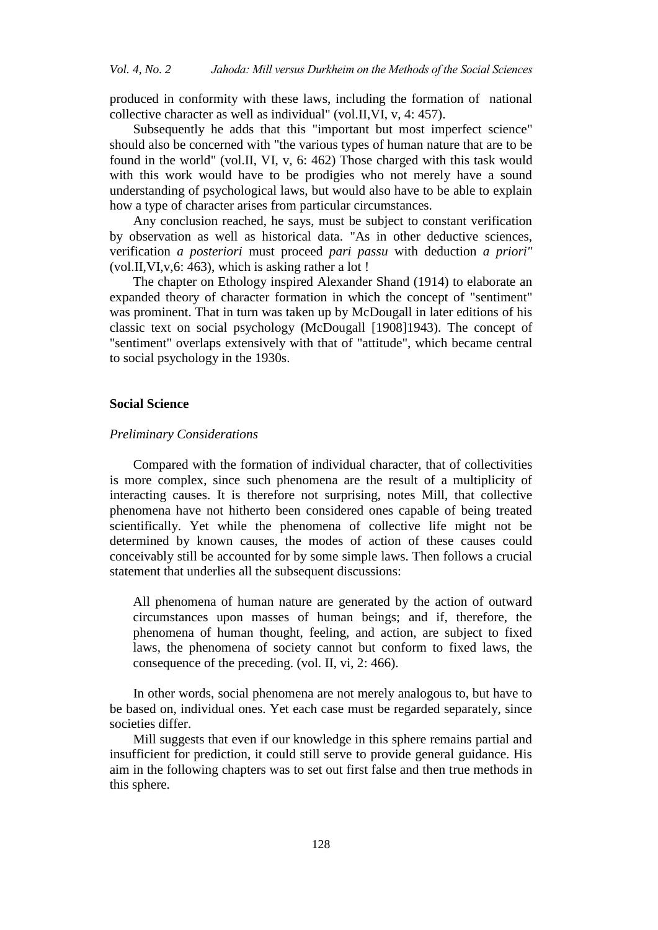produced in conformity with these laws, including the formation of national collective character as well as individual" (vol.II,VI, v, 4: 457).

Subsequently he adds that this "important but most imperfect science" should also be concerned with "the various types of human nature that are to be found in the world" (vol.II, VI, v, 6: 462) Those charged with this task would with this work would have to be prodigies who not merely have a sound understanding of psychological laws, but would also have to be able to explain how a type of character arises from particular circumstances.

Any conclusion reached, he says, must be subject to constant verification by observation as well as historical data. "As in other deductive sciences, verification *a posteriori* must proceed *pari passu* with deduction *a priori"* (vol.II,VI,v,6: 463), which is asking rather a lot !

The chapter on Ethology inspired Alexander Shand (1914) to elaborate an expanded theory of character formation in which the concept of "sentiment" was prominent. That in turn was taken up by McDougall in later editions of his classic text on social psychology (McDougall [1908]1943). The concept of "sentiment" overlaps extensively with that of "attitude", which became central to social psychology in the 1930s.

#### **Social Science**

#### *Preliminary Considerations*

Compared with the formation of individual character, that of collectivities is more complex, since such phenomena are the result of a multiplicity of interacting causes. It is therefore not surprising, notes Mill, that collective phenomena have not hitherto been considered ones capable of being treated scientifically. Yet while the phenomena of collective life might not be determined by known causes, the modes of action of these causes could conceivably still be accounted for by some simple laws. Then follows a crucial statement that underlies all the subsequent discussions:

All phenomena of human nature are generated by the action of outward circumstances upon masses of human beings; and if, therefore, the phenomena of human thought, feeling, and action, are subject to fixed laws, the phenomena of society cannot but conform to fixed laws, the consequence of the preceding. (vol. II, vi, 2: 466).

In other words, social phenomena are not merely analogous to, but have to be based on, individual ones. Yet each case must be regarded separately, since societies differ.

Mill suggests that even if our knowledge in this sphere remains partial and insufficient for prediction, it could still serve to provide general guidance. His aim in the following chapters was to set out first false and then true methods in this sphere.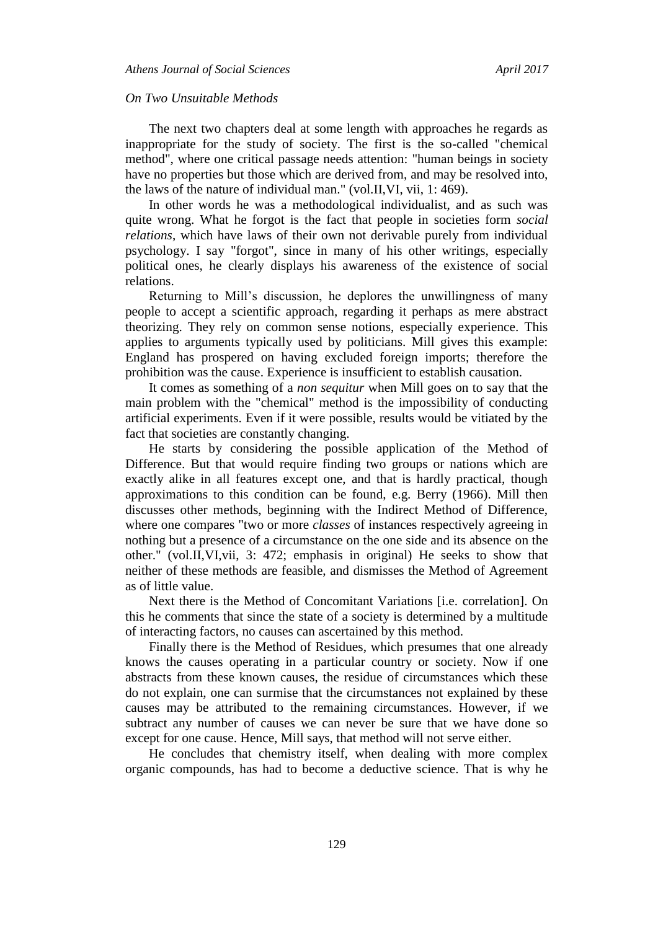#### *On Two Unsuitable Methods*

The next two chapters deal at some length with approaches he regards as inappropriate for the study of society. The first is the so-called "chemical method", where one critical passage needs attention: "human beings in society have no properties but those which are derived from, and may be resolved into, the laws of the nature of individual man." (vol.II,VI, vii, 1: 469).

In other words he was a methodological individualist, and as such was quite wrong. What he forgot is the fact that people in societies form *social relations*, which have laws of their own not derivable purely from individual psychology. I say "forgot", since in many of his other writings, especially political ones, he clearly displays his awareness of the existence of social relations.

Returning to Mill's discussion, he deplores the unwillingness of many people to accept a scientific approach, regarding it perhaps as mere abstract theorizing. They rely on common sense notions, especially experience. This applies to arguments typically used by politicians. Mill gives this example: England has prospered on having excluded foreign imports; therefore the prohibition was the cause. Experience is insufficient to establish causation.

It comes as something of a *non sequitur* when Mill goes on to say that the main problem with the "chemical" method is the impossibility of conducting artificial experiments. Even if it were possible, results would be vitiated by the fact that societies are constantly changing.

He starts by considering the possible application of the Method of Difference. But that would require finding two groups or nations which are exactly alike in all features except one, and that is hardly practical, though approximations to this condition can be found, e.g. Berry (1966). Mill then discusses other methods, beginning with the Indirect Method of Difference, where one compares "two or more *classes* of instances respectively agreeing in nothing but a presence of a circumstance on the one side and its absence on the other." (vol.II,VI,vii, 3: 472; emphasis in original) He seeks to show that neither of these methods are feasible, and dismisses the Method of Agreement as of little value.

Next there is the Method of Concomitant Variations [i.e. correlation]. On this he comments that since the state of a society is determined by a multitude of interacting factors, no causes can ascertained by this method.

Finally there is the Method of Residues, which presumes that one already knows the causes operating in a particular country or society. Now if one abstracts from these known causes, the residue of circumstances which these do not explain, one can surmise that the circumstances not explained by these causes may be attributed to the remaining circumstances. However, if we subtract any number of causes we can never be sure that we have done so except for one cause. Hence, Mill says, that method will not serve either.

He concludes that chemistry itself, when dealing with more complex organic compounds, has had to become a deductive science. That is why he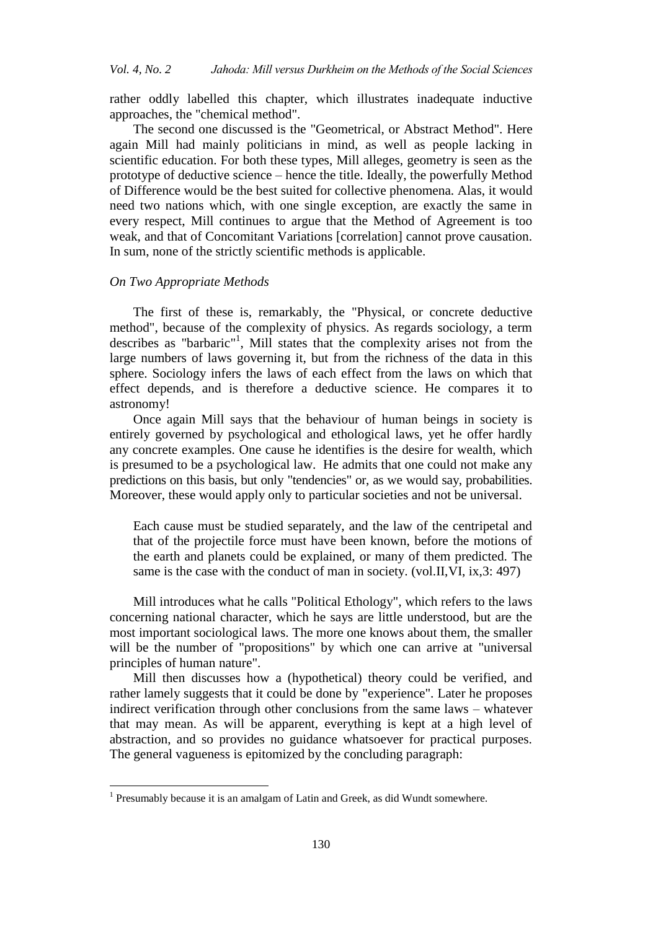rather oddly labelled this chapter, which illustrates inadequate inductive approaches, the "chemical method".

The second one discussed is the "Geometrical, or Abstract Method". Here again Mill had mainly politicians in mind, as well as people lacking in scientific education. For both these types, Mill alleges, geometry is seen as the prototype of deductive science – hence the title. Ideally, the powerfully Method of Difference would be the best suited for collective phenomena. Alas, it would need two nations which, with one single exception, are exactly the same in every respect, Mill continues to argue that the Method of Agreement is too weak, and that of Concomitant Variations [correlation] cannot prove causation. In sum, none of the strictly scientific methods is applicable.

#### *On Two Appropriate Methods*

The first of these is, remarkably, the "Physical, or concrete deductive method", because of the complexity of physics. As regards sociology, a term describes as "barbaric" 1 , Mill states that the complexity arises not from the large numbers of laws governing it, but from the richness of the data in this sphere. Sociology infers the laws of each effect from the laws on which that effect depends, and is therefore a deductive science. He compares it to astronomy!

Once again Mill says that the behaviour of human beings in society is entirely governed by psychological and ethological laws, yet he offer hardly any concrete examples. One cause he identifies is the desire for wealth, which is presumed to be a psychological law. He admits that one could not make any predictions on this basis, but only "tendencies" or, as we would say, probabilities. Moreover, these would apply only to particular societies and not be universal.

Each cause must be studied separately, and the law of the centripetal and that of the projectile force must have been known, before the motions of the earth and planets could be explained, or many of them predicted. The same is the case with the conduct of man in society. (vol.II, VI, ix, 3: 497)

Mill introduces what he calls "Political Ethology", which refers to the laws concerning national character, which he says are little understood, but are the most important sociological laws. The more one knows about them, the smaller will be the number of "propositions" by which one can arrive at "universal principles of human nature".

Mill then discusses how a (hypothetical) theory could be verified, and rather lamely suggests that it could be done by "experience". Later he proposes indirect verification through other conclusions from the same laws – whatever that may mean. As will be apparent, everything is kept at a high level of abstraction, and so provides no guidance whatsoever for practical purposes. The general vagueness is epitomized by the concluding paragraph:

<sup>&</sup>lt;sup>1</sup> Presumably because it is an amalgam of Latin and Greek, as did Wundt somewhere.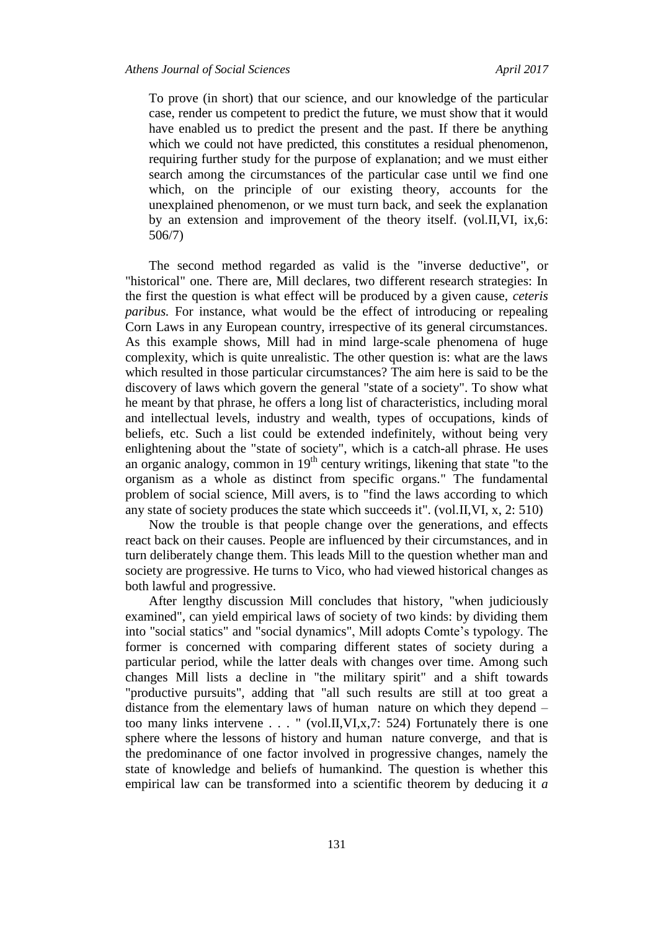To prove (in short) that our science, and our knowledge of the particular case, render us competent to predict the future, we must show that it would have enabled us to predict the present and the past. If there be anything which we could not have predicted, this constitutes a residual phenomenon, requiring further study for the purpose of explanation; and we must either search among the circumstances of the particular case until we find one which, on the principle of our existing theory, accounts for the unexplained phenomenon, or we must turn back, and seek the explanation by an extension and improvement of the theory itself. (vol.II,VI, ix,6: 506/7)

The second method regarded as valid is the "inverse deductive", or "historical" one. There are, Mill declares, two different research strategies: In the first the question is what effect will be produced by a given cause, *ceteris paribus.* For instance, what would be the effect of introducing or repealing Corn Laws in any European country, irrespective of its general circumstances. As this example shows, Mill had in mind large-scale phenomena of huge complexity, which is quite unrealistic. The other question is: what are the laws which resulted in those particular circumstances? The aim here is said to be the discovery of laws which govern the general "state of a society". To show what he meant by that phrase, he offers a long list of characteristics, including moral and intellectual levels, industry and wealth, types of occupations, kinds of beliefs, etc. Such a list could be extended indefinitely, without being very enlightening about the "state of society", which is a catch-all phrase. He uses an organic analogy, common in  $19<sup>th</sup>$  century writings, likening that state "to the organism as a whole as distinct from specific organs." The fundamental problem of social science, Mill avers, is to "find the laws according to which any state of society produces the state which succeeds it". (vol.II,VI, x, 2: 510)

Now the trouble is that people change over the generations, and effects react back on their causes. People are influenced by their circumstances, and in turn deliberately change them. This leads Mill to the question whether man and society are progressive. He turns to Vico, who had viewed historical changes as both lawful and progressive.

After lengthy discussion Mill concludes that history, "when judiciously examined", can yield empirical laws of society of two kinds: by dividing them into "social statics" and "social dynamics", Mill adopts Comte's typology. The former is concerned with comparing different states of society during a particular period, while the latter deals with changes over time. Among such changes Mill lists a decline in "the military spirit" and a shift towards "productive pursuits", adding that "all such results are still at too great a distance from the elementary laws of human nature on which they depend – too many links intervene . . . " (vol.II,VI,x,7: 524) Fortunately there is one sphere where the lessons of history and human nature converge, and that is the predominance of one factor involved in progressive changes, namely the state of knowledge and beliefs of humankind. The question is whether this empirical law can be transformed into a scientific theorem by deducing it *a*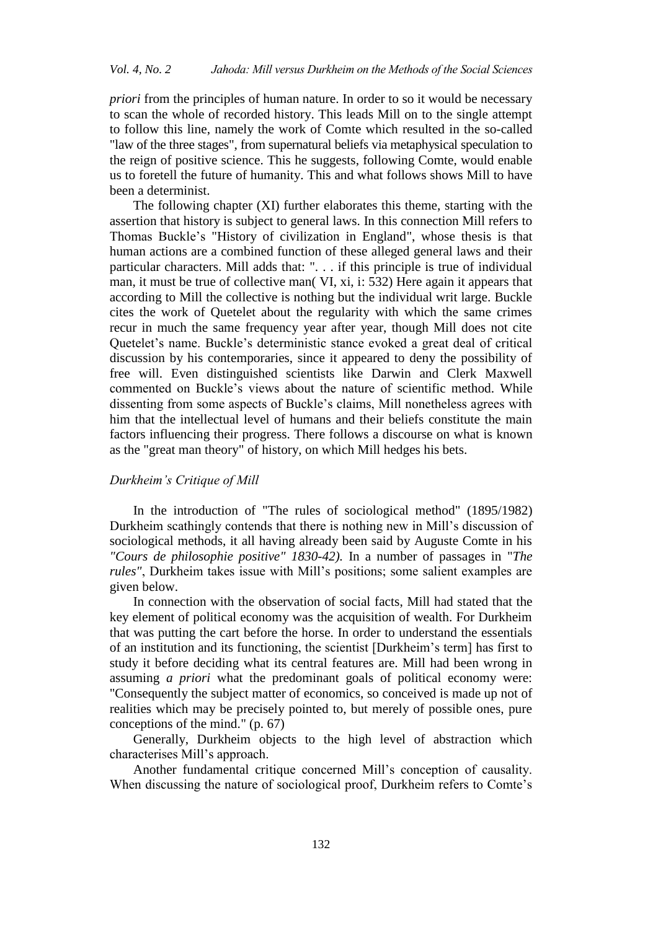*priori* from the principles of human nature. In order to so it would be necessary to scan the whole of recorded history. This leads Mill on to the single attempt to follow this line, namely the work of Comte which resulted in the so-called "law of the three stages", from supernatural beliefs via metaphysical speculation to the reign of positive science. This he suggests, following Comte, would enable us to foretell the future of humanity. This and what follows shows Mill to have been a determinist.

The following chapter (XI) further elaborates this theme, starting with the assertion that history is subject to general laws. In this connection Mill refers to Thomas Buckle's "History of civilization in England", whose thesis is that human actions are a combined function of these alleged general laws and their particular characters. Mill adds that: ". . . if this principle is true of individual man, it must be true of collective man( VI, xi, i: 532) Here again it appears that according to Mill the collective is nothing but the individual writ large. Buckle cites the work of Quetelet about the regularity with which the same crimes recur in much the same frequency year after year, though Mill does not cite Quetelet's name. Buckle's deterministic stance evoked a great deal of critical discussion by his contemporaries, since it appeared to deny the possibility of free will. Even distinguished scientists like Darwin and Clerk Maxwell commented on Buckle's views about the nature of scientific method. While dissenting from some aspects of Buckle's claims, Mill nonetheless agrees with him that the intellectual level of humans and their beliefs constitute the main factors influencing their progress. There follows a discourse on what is known as the "great man theory" of history, on which Mill hedges his bets.

## *Durkheim's Critique of Mill*

In the introduction of "The rules of sociological method" (1895/1982) Durkheim scathingly contends that there is nothing new in Mill's discussion of sociological methods, it all having already been said by Auguste Comte in his *"Cours de philosophie positive" 1830-42).* In a number of passages in "*The rules"*, Durkheim takes issue with Mill's positions; some salient examples are given below.

In connection with the observation of social facts, Mill had stated that the key element of political economy was the acquisition of wealth. For Durkheim that was putting the cart before the horse. In order to understand the essentials of an institution and its functioning, the scientist [Durkheim's term] has first to study it before deciding what its central features are. Mill had been wrong in assuming *a priori* what the predominant goals of political economy were: "Consequently the subject matter of economics, so conceived is made up not of realities which may be precisely pointed to, but merely of possible ones, pure conceptions of the mind." (p. 67)

Generally, Durkheim objects to the high level of abstraction which characterises Mill's approach.

Another fundamental critique concerned Mill's conception of causality. When discussing the nature of sociological proof, Durkheim refers to Comte's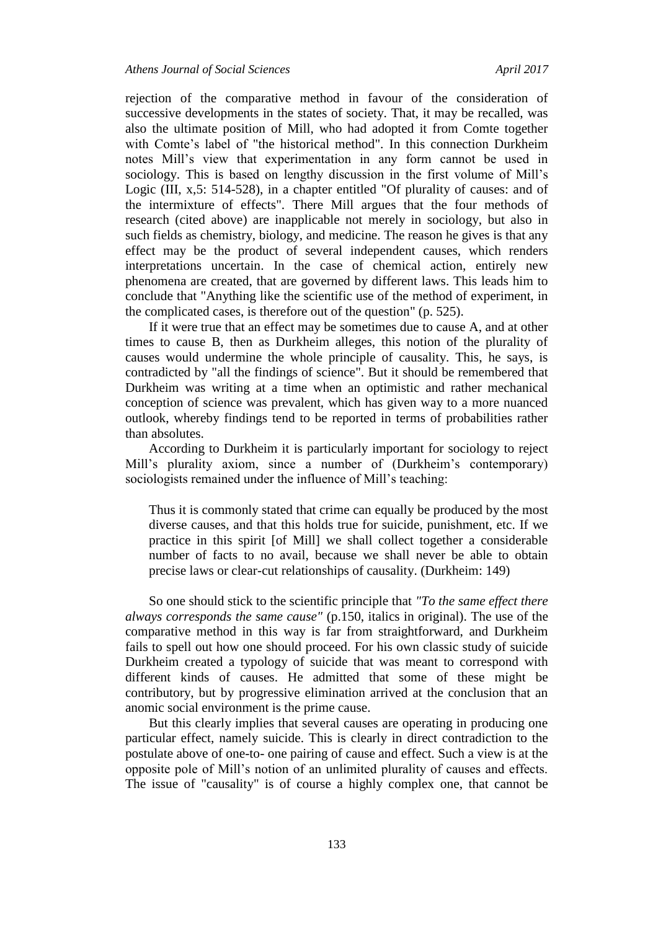rejection of the comparative method in favour of the consideration of successive developments in the states of society. That, it may be recalled, was also the ultimate position of Mill, who had adopted it from Comte together with Comte's label of "the historical method". In this connection Durkheim notes Mill's view that experimentation in any form cannot be used in sociology. This is based on lengthy discussion in the first volume of Mill's Logic (III, x,5: 514-528), in a chapter entitled "Of plurality of causes: and of the intermixture of effects". There Mill argues that the four methods of research (cited above) are inapplicable not merely in sociology, but also in such fields as chemistry, biology, and medicine. The reason he gives is that any effect may be the product of several independent causes, which renders interpretations uncertain. In the case of chemical action, entirely new phenomena are created, that are governed by different laws. This leads him to conclude that "Anything like the scientific use of the method of experiment, in the complicated cases, is therefore out of the question" (p. 525).

If it were true that an effect may be sometimes due to cause A, and at other times to cause B, then as Durkheim alleges, this notion of the plurality of causes would undermine the whole principle of causality. This, he says, is contradicted by "all the findings of science". But it should be remembered that Durkheim was writing at a time when an optimistic and rather mechanical conception of science was prevalent, which has given way to a more nuanced outlook, whereby findings tend to be reported in terms of probabilities rather than absolutes.

According to Durkheim it is particularly important for sociology to reject Mill's plurality axiom, since a number of (Durkheim's contemporary) sociologists remained under the influence of Mill's teaching:

Thus it is commonly stated that crime can equally be produced by the most diverse causes, and that this holds true for suicide, punishment, etc. If we practice in this spirit [of Mill] we shall collect together a considerable number of facts to no avail, because we shall never be able to obtain precise laws or clear-cut relationships of causality. (Durkheim: 149)

So one should stick to the scientific principle that *"To the same effect there always corresponds the same cause"* (p.150, italics in original). The use of the comparative method in this way is far from straightforward, and Durkheim fails to spell out how one should proceed. For his own classic study of suicide Durkheim created a typology of suicide that was meant to correspond with different kinds of causes. He admitted that some of these might be contributory, but by progressive elimination arrived at the conclusion that an anomic social environment is the prime cause.

But this clearly implies that several causes are operating in producing one particular effect, namely suicide. This is clearly in direct contradiction to the postulate above of one-to- one pairing of cause and effect. Such a view is at the opposite pole of Mill's notion of an unlimited plurality of causes and effects. The issue of "causality" is of course a highly complex one, that cannot be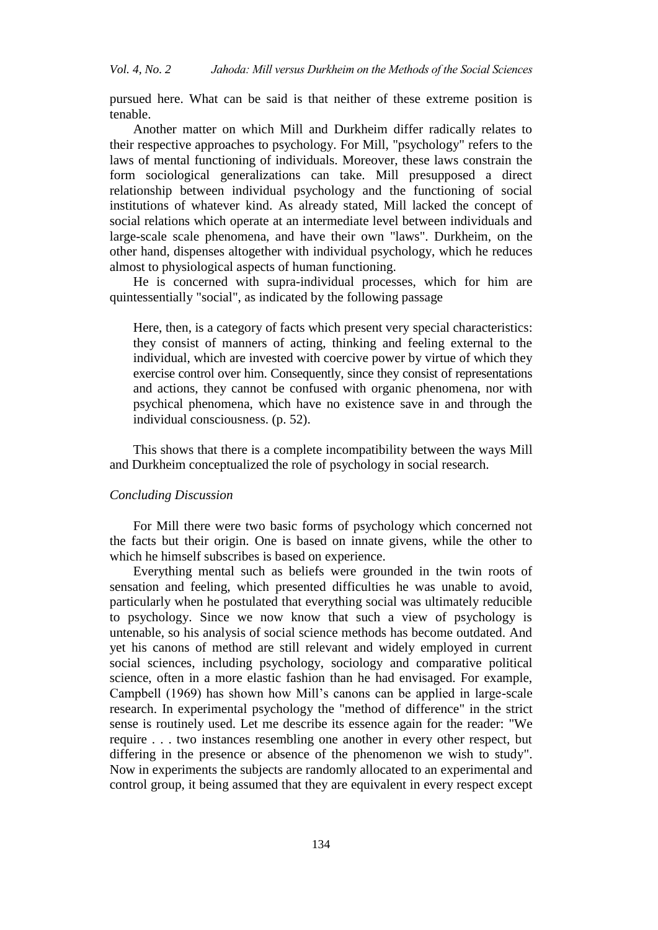pursued here. What can be said is that neither of these extreme position is tenable.

Another matter on which Mill and Durkheim differ radically relates to their respective approaches to psychology. For Mill, "psychology" refers to the laws of mental functioning of individuals. Moreover, these laws constrain the form sociological generalizations can take. Mill presupposed a direct relationship between individual psychology and the functioning of social institutions of whatever kind. As already stated, Mill lacked the concept of social relations which operate at an intermediate level between individuals and large-scale scale phenomena, and have their own "laws". Durkheim, on the other hand, dispenses altogether with individual psychology, which he reduces almost to physiological aspects of human functioning.

He is concerned with supra-individual processes, which for him are quintessentially "social", as indicated by the following passage

Here, then, is a category of facts which present very special characteristics: they consist of manners of acting, thinking and feeling external to the individual, which are invested with coercive power by virtue of which they exercise control over him. Consequently, since they consist of representations and actions, they cannot be confused with organic phenomena, nor with psychical phenomena, which have no existence save in and through the individual consciousness. (p. 52).

This shows that there is a complete incompatibility between the ways Mill and Durkheim conceptualized the role of psychology in social research.

#### *Concluding Discussion*

For Mill there were two basic forms of psychology which concerned not the facts but their origin. One is based on innate givens, while the other to which he himself subscribes is based on experience.

Everything mental such as beliefs were grounded in the twin roots of sensation and feeling, which presented difficulties he was unable to avoid, particularly when he postulated that everything social was ultimately reducible to psychology. Since we now know that such a view of psychology is untenable, so his analysis of social science methods has become outdated. And yet his canons of method are still relevant and widely employed in current social sciences, including psychology, sociology and comparative political science, often in a more elastic fashion than he had envisaged. For example, Campbell (1969) has shown how Mill's canons can be applied in large-scale research. In experimental psychology the "method of difference" in the strict sense is routinely used. Let me describe its essence again for the reader: "We require . . . two instances resembling one another in every other respect, but differing in the presence or absence of the phenomenon we wish to study". Now in experiments the subjects are randomly allocated to an experimental and control group, it being assumed that they are equivalent in every respect except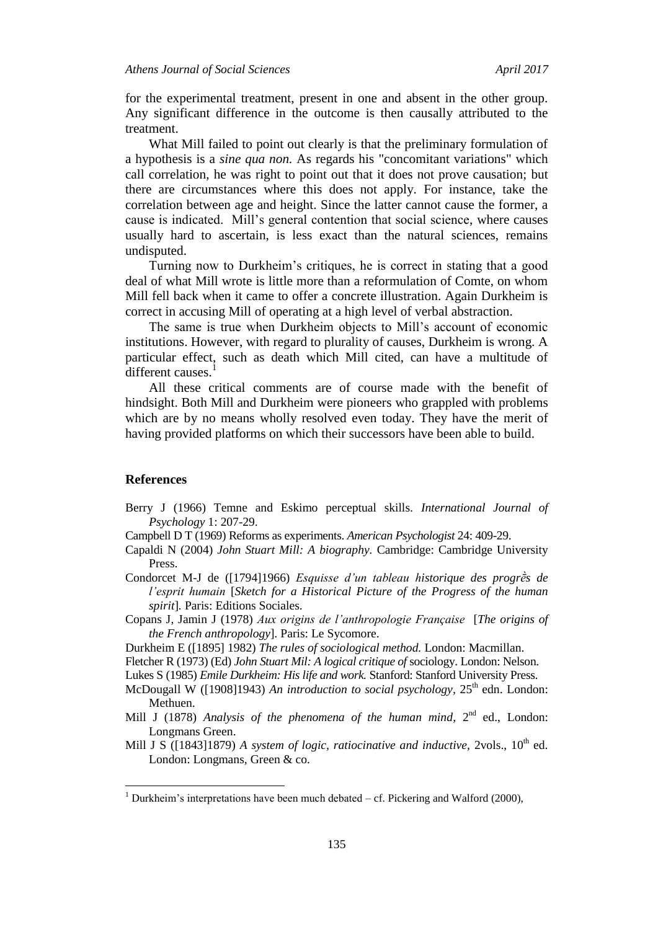for the experimental treatment, present in one and absent in the other group. Any significant difference in the outcome is then causally attributed to the treatment.

What Mill failed to point out clearly is that the preliminary formulation of a hypothesis is a *sine qua non.* As regards his "concomitant variations" which call correlation, he was right to point out that it does not prove causation; but there are circumstances where this does not apply. For instance, take the correlation between age and height. Since the latter cannot cause the former, a cause is indicated. Mill's general contention that social science, where causes usually hard to ascertain, is less exact than the natural sciences, remains undisputed.

Turning now to Durkheim's critiques, he is correct in stating that a good deal of what Mill wrote is little more than a reformulation of Comte, on whom Mill fell back when it came to offer a concrete illustration. Again Durkheim is correct in accusing Mill of operating at a high level of verbal abstraction.

The same is true when Durkheim objects to Mill's account of economic institutions. However, with regard to plurality of causes, Durkheim is wrong. A particular effect, such as death which Mill cited, can have a multitude of different causes.<sup>1</sup>

All these critical comments are of course made with the benefit of hindsight. Both Mill and Durkheim were pioneers who grappled with problems which are by no means wholly resolved even today. They have the merit of having provided platforms on which their successors have been able to build.

#### **References**

 $\overline{a}$ 

- Berry J (1966) Temne and Eskimo perceptual skills. *International Journal of Psychology* 1: 207-29.
- Campbell D T (1969) Reforms as experiments. *American Psychologist* 24: 409-29.
- Capaldi N (2004) *John Stuart Mill: A biography.* Cambridge: Cambridge University Press.
- Condorcet M-J de ([1794]1966) *Esquisse d'un tableau historique des progrḕs de l'esprit humain* [*Sketch for a Historical Picture of the Progress of the human spirit*]*.* Paris: Editions Sociales.
- Copans J, Jamin J (1978) *Aux origins de l'anthropologie Française* [*The origins of the French anthropology*]*.* Paris: Le Sycomore.
- Durkheim E ([1895] 1982) *The rules of sociological method.* London: Macmillan.
- Fletcher R (1973) (Ed) *John Stuart Mil: A logical critique of* sociology. London: Nelson.
- Lukes S (1985) *Emile Durkheim: His life and work.* Stanford: Stanford University Press.
- McDougall W ([1908]1943) An introduction to social psychology, 25<sup>th</sup> edn. London: Methuen.
- Mill J (1878) *Analysis of the phenomena of the human mind*,  $2^{nd}$  ed., London: Longmans Green.
- Mill J S ([1843]1879) *A system of logic, ratiocinative and inductive, 2vols., 10<sup>th</sup> ed.* London: Longmans, Green & co.

 $1$  Durkheim's interpretations have been much debated – cf. Pickering and Walford (2000),